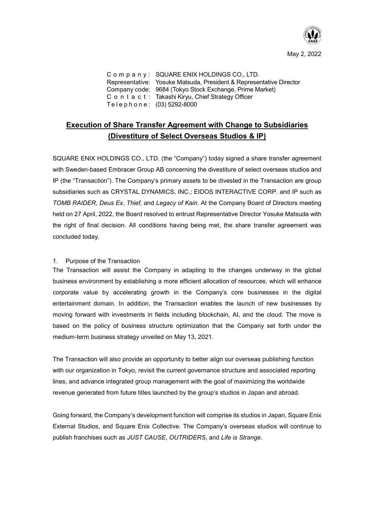

Company: SQUARE ENIX HOLDINGS CO., LTD. Representative: Yosuke Matsuda, President & Representative Director Company code: 9684 (Tokyo Stock Exchange, Prime Market) Contact: Takashi Kiryu, Chief Strategy Officer Telephone: (03) 5292-8000

# **Execution of Share Transfer Agreement with Change to Subsidiaries (Divestiture of Select Overseas Studios & IP)**

SQUARE ENIX HOLDINGS CO., LTD. (the "Company") today signed a share transfer agreement with Sweden-based Embracer Group AB concerning the divestiture of select overseas studios and IP (the "Transaction"). The Company's primary assets to be divested in the Transaction are group subsidiaries such as CRYSTAL DYNAMICS, INC.; EIDOS INTERACTIVE CORP. and IP such as *TOMB RAIDER*, *Deus Ex*, *Thief*, and *Legacy of Kain*. At the Company Board of Directors meeting held on 27 April, 2022, the Board resolved to entrust Representative Director Yosuke Matsuda with the right of final decision. All conditions having being met, the share transfer agreement was concluded today.

#### 1. Purpose of the Transaction

The Transaction will assist the Company in adapting to the changes underway in the global business environment by establishing a more efficient allocation of resources, which will enhance corporate value by accelerating growth in the Company's core businesses in the digital entertainment domain. In addition, the Transaction enables the launch of new businesses by moving forward with investments in fields including blockchain, AI, and the cloud. The move is based on the policy of business structure optimization that the Company set forth under the medium-term business strategy unveiled on May 13, 2021.

The Transaction will also provide an opportunity to better align our overseas publishing function with our organization in Tokyo, revisit the current governance structure and associated reporting lines, and advance integrated group management with the goal of maximizing the worldwide revenue generated from future titles launched by the group's studios in Japan and abroad.

Going forward, the Company's development function will comprise its studios in Japan, Square Enix External Studios, and Square Enix Collective. The Company's overseas studios will continue to publish franchises such as *JUST CAUSE*, *OUTRIDERS,* and *Life is Strange*.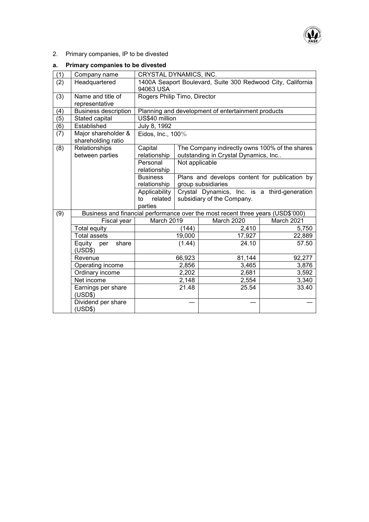

2. Primary companies, IP to be divested

# **a. Primary companies to be divested**

| (1) | Company name                              | CRYSTAL DYNAMICS, INC.                                      |                |                                                                                 |            |
|-----|-------------------------------------------|-------------------------------------------------------------|----------------|---------------------------------------------------------------------------------|------------|
| (2) | Headquartered                             | 1400A Seaport Boulevard, Suite 300 Redwood City, California |                |                                                                                 |            |
|     |                                           | 94063 USA                                                   |                |                                                                                 |            |
| (3) | Name and title of                         | Rogers Philip Timo, Director                                |                |                                                                                 |            |
|     | representative                            |                                                             |                |                                                                                 |            |
| (4) | <b>Business description</b>               | Planning and development of entertainment products          |                |                                                                                 |            |
| (5) | Stated capital                            | US\$40 million                                              |                |                                                                                 |            |
| (6) | Established                               | July 8, 1992                                                |                |                                                                                 |            |
| (7) | Major shareholder &<br>shareholding ratio | Eidos, Inc., 100%                                           |                |                                                                                 |            |
| (8) | Relationships                             | The Company indirectly owns 100% of the shares<br>Capital   |                |                                                                                 |            |
|     | between parties                           | relationship                                                |                | outstanding in Crystal Dynamics, Inc                                            |            |
|     |                                           | Personal                                                    | Not applicable |                                                                                 |            |
|     |                                           | relationship                                                |                |                                                                                 |            |
|     |                                           | <b>Business</b>                                             |                | Plans and develops content for publication by                                   |            |
|     |                                           | relationship                                                |                | group subsidiaries                                                              |            |
|     |                                           | Applicability<br>related<br>to                              |                | Crystal Dynamics, Inc. is a third-generation<br>subsidiary of the Company.      |            |
|     |                                           | parties                                                     |                |                                                                                 |            |
| (9) |                                           |                                                             |                | Business and financial performance over the most recent three years (USD\$'000) |            |
|     | Fiscal year                               | March 2019                                                  |                | March 2020                                                                      | March 2021 |
|     | Total equity                              |                                                             | (144)          | 2,410                                                                           | 5,750      |
|     | <b>Total assets</b>                       |                                                             | 19,000         | 17,927                                                                          | 22,889     |
|     | share<br>Equity<br>per<br>(USD\$)         |                                                             | (1.44)         | 24.10                                                                           | 57.50      |
|     | Revenue                                   |                                                             | 66,923         | 81,144                                                                          | 92,277     |
|     | Operating income                          | 2,856                                                       |                | 3,465                                                                           | 3,876      |
|     | Ordinary income                           |                                                             | 2,202          | 2,681                                                                           | 3,592      |
|     | Net income                                |                                                             | 2,148          | 2,554                                                                           | 3,340      |
|     | Earnings per share                        |                                                             | 21.48          | 25.54                                                                           | 33.40      |
|     | (USD\$)                                   |                                                             |                |                                                                                 |            |
|     | Dividend per share                        |                                                             |                |                                                                                 |            |
|     | (USD\$)                                   |                                                             |                |                                                                                 |            |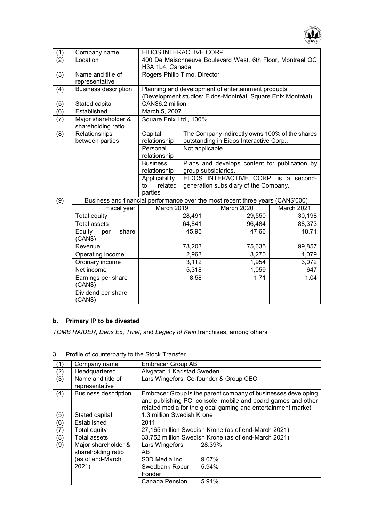

| (1) | Company name                              | EIDOS INTERACTIVE CORP.                                                         |                                                             |                                               |            |
|-----|-------------------------------------------|---------------------------------------------------------------------------------|-------------------------------------------------------------|-----------------------------------------------|------------|
| (2) | Location                                  | 400 De Maisonneuve Boulevard West, 6th Floor, Montreal QC<br>H3A 1L4, Canada    |                                                             |                                               |            |
| (3) | Name and title of                         | Rogers Philip Timo, Director                                                    |                                                             |                                               |            |
|     | representative                            |                                                                                 |                                                             |                                               |            |
| (4) | <b>Business description</b>               |                                                                                 | Planning and development of entertainment products          |                                               |            |
|     |                                           |                                                                                 | (Development studios: Eidos-Montréal, Square Enix Montréal) |                                               |            |
| (5) | Stated capital                            | CAN\$6.2 million                                                                |                                                             |                                               |            |
| (6) | Established                               | March 5, 2007                                                                   |                                                             |                                               |            |
| (7) | Major shareholder &<br>shareholding ratio | Square Enix Ltd., 100%                                                          |                                                             |                                               |            |
| (8) | Relationships                             | Capital                                                                         | The Company indirectly owns 100% of the shares              |                                               |            |
|     | between parties                           | relationship                                                                    |                                                             | outstanding in Eidos Interactive Corp         |            |
|     |                                           | Personal                                                                        | Not applicable                                              |                                               |            |
|     |                                           | relationship                                                                    |                                                             |                                               |            |
|     |                                           | <b>Business</b>                                                                 |                                                             | Plans and develops content for publication by |            |
|     |                                           | relationship                                                                    |                                                             | group subsidiaries.                           |            |
|     |                                           | Applicability                                                                   |                                                             | EIDOS INTERACTIVE CORP. is a second-          |            |
|     |                                           | related<br>to                                                                   |                                                             | generation subsidiary of the Company.         |            |
|     |                                           | parties                                                                         |                                                             |                                               |            |
| (9) |                                           | Business and financial performance over the most recent three years (CAN\$'000) |                                                             |                                               |            |
|     | Fiscal year                               | March 2019                                                                      |                                                             | March 2020                                    | March 2021 |
|     | <b>Total equity</b>                       |                                                                                 | 28,491                                                      | 29,550                                        | 30,198     |
|     | <b>Total assets</b>                       |                                                                                 | 64,841                                                      | 96,484                                        | 88,373     |
|     | Equity<br>share<br>per<br>(CAN\$)         |                                                                                 | 45.95                                                       | 47.66                                         | 48.71      |
|     | Revenue                                   | 73,203                                                                          |                                                             | 75,635                                        | 99,857     |
|     | Operating income                          | 2,963                                                                           |                                                             | 3,270                                         | 4,079      |
|     | Ordinary income                           | 3,112                                                                           |                                                             | 1,954                                         | 3,072      |
|     | Net income                                | 5,318                                                                           |                                                             | 1,059                                         | 647        |
|     | Earnings per share<br>(CAN\$)             |                                                                                 | 8.58                                                        | 1.71                                          | 1.04       |
|     | Dividend per share<br>(CAN\$)             |                                                                                 |                                                             |                                               |            |

# **b. Primary IP to be divested**

*TOMB RAIDER*, *Deus Ex*, *Thief*, and *Legacy of Kain* franchises, among others

|     | Company name                              | <b>Embracer Group AB</b>                                                                                                                                                                      |        |  |
|-----|-------------------------------------------|-----------------------------------------------------------------------------------------------------------------------------------------------------------------------------------------------|--------|--|
| (2) | Headquartered                             | Älvgatan 1 Karlstad Sweden                                                                                                                                                                    |        |  |
| (3) | Name and title of<br>representative       | Lars Wingefors, Co-founder & Group CEO                                                                                                                                                        |        |  |
| (4) | <b>Business description</b>               | Embracer Group is the parent company of businesses developing<br>and publishing PC, console, mobile and board games and other<br>related media for the global gaming and entertainment market |        |  |
| (5) | Stated capital                            | 1.3 million Swedish Krone                                                                                                                                                                     |        |  |
| (6) | Established                               | 2011                                                                                                                                                                                          |        |  |
| (7) | Total equity                              | 27,165 million Swedish Krone (as of end-March 2021)                                                                                                                                           |        |  |
| (8) | <b>Total assets</b>                       | 33,752 million Swedish Krone (as of end-March 2021)                                                                                                                                           |        |  |
| (9) | Major shareholder &<br>shareholding ratio | Lars Wingefors<br>AB                                                                                                                                                                          | 28.39% |  |
|     | (as of end-March                          | S3D Media Inc.                                                                                                                                                                                | 9.07%  |  |
|     | 2021)                                     | Swedbank Robur<br>Fonder                                                                                                                                                                      | 5.94%  |  |
|     |                                           | Canada Pension                                                                                                                                                                                | 5.94%  |  |

3. Profile of counterparty to the Stock Transfer